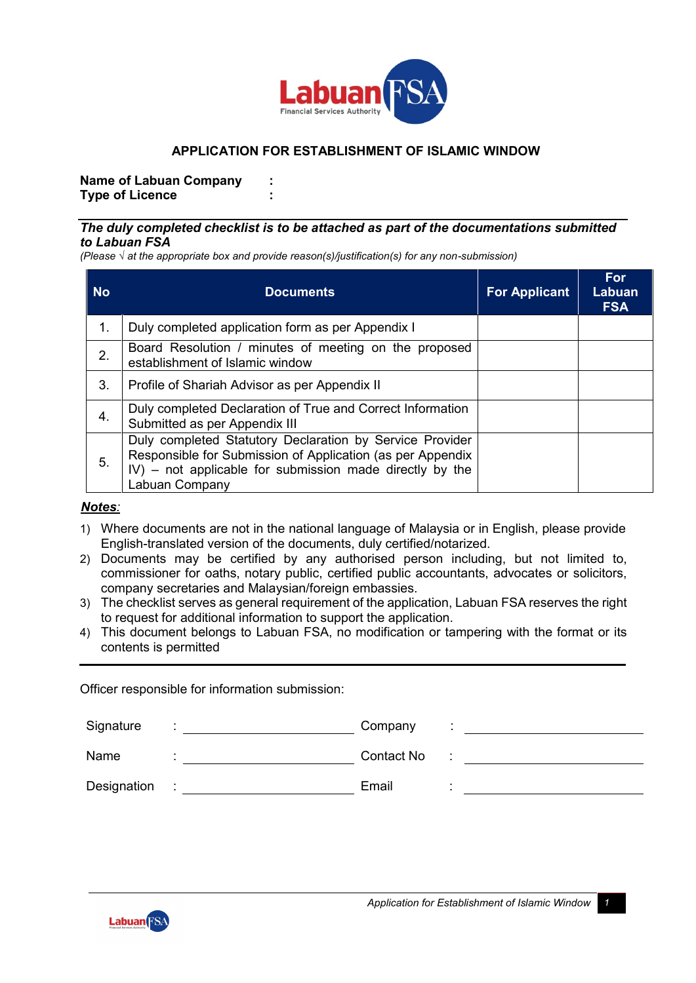

## **APPLICATION FOR ESTABLISHMENT OF ISLAMIC WINDOW**

**Name of Labuan Company : Type of Licence :**

### *The duly completed checklist is to be attached as part of the documentations submitted to Labuan FSA*

*(Please √ at the appropriate box and provide reason(s)/justification(s) for any non-submission)*

| <b>No</b> | <b>Documents</b>                                                                                                                                                                                     | <b>For Applicant</b> | For<br>Labuan<br><b>FSA</b> |
|-----------|------------------------------------------------------------------------------------------------------------------------------------------------------------------------------------------------------|----------------------|-----------------------------|
| 1.        | Duly completed application form as per Appendix I                                                                                                                                                    |                      |                             |
| 2.        | Board Resolution / minutes of meeting on the proposed<br>establishment of Islamic window                                                                                                             |                      |                             |
| 3.        | Profile of Shariah Advisor as per Appendix II                                                                                                                                                        |                      |                             |
| 4.        | Duly completed Declaration of True and Correct Information<br>Submitted as per Appendix III                                                                                                          |                      |                             |
| 5.        | Duly completed Statutory Declaration by Service Provider<br>Responsible for Submission of Application (as per Appendix<br>IV) – not applicable for submission made directly by the<br>Labuan Company |                      |                             |

### *Notes:*

- 1) Where documents are not in the national language of Malaysia or in English, please provide English-translated version of the documents, duly certified/notarized.
- 2) Documents may be certified by any authorised person including, but not limited to, commissioner for oaths, notary public, certified public accountants, advocates or solicitors, company secretaries and Malaysian/foreign embassies.
- 3) The checklist serves as general requirement of the application, Labuan FSA reserves the right to request for additional information to support the application.
- 4) This document belongs to Labuan FSA, no modification or tampering with the format or its contents is permitted

Officer responsible for information submission:

| Signature   | Company    |  |
|-------------|------------|--|
|             |            |  |
| Name        | Contact No |  |
| Designation | Email      |  |

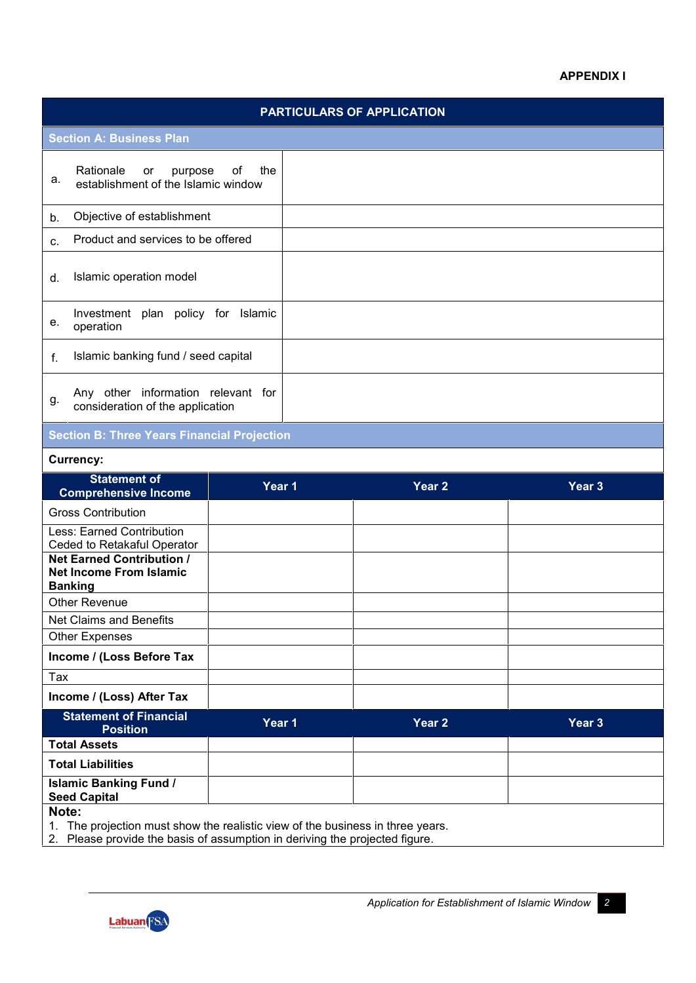### **APPENDIX I**

# **PARTICULARS OF APPLICATION Section A: Business Plan** Rationale or purpose of the<br>a. ostablishment of the Islamic window establishment of the Islamic window b. Objective of establishment c. Product and services to be offered d. Islamic operation model e. Investment plan policy for Islamic operation f. Islamic banking fund / seed capital g. Any other information relevant for<br>g. consideration of the application consideration of the application

# **Section B: Three Years Financial Projection**

#### **Currency:**

| <b>Statement of</b><br><b>Comprehensive Income</b>                                                                                                                        | Year 1 | Year <sub>2</sub> | Year 3 |
|---------------------------------------------------------------------------------------------------------------------------------------------------------------------------|--------|-------------------|--------|
| <b>Gross Contribution</b>                                                                                                                                                 |        |                   |        |
| Less: Earned Contribution<br>Ceded to Retakaful Operator                                                                                                                  |        |                   |        |
| <b>Net Earned Contribution /</b><br><b>Net Income From Islamic</b><br><b>Banking</b>                                                                                      |        |                   |        |
| <b>Other Revenue</b>                                                                                                                                                      |        |                   |        |
| Net Claims and Benefits                                                                                                                                                   |        |                   |        |
| <b>Other Expenses</b>                                                                                                                                                     |        |                   |        |
| Income / (Loss Before Tax                                                                                                                                                 |        |                   |        |
| Tax                                                                                                                                                                       |        |                   |        |
| Income / (Loss) After Tax                                                                                                                                                 |        |                   |        |
| <b>Statement of Financial</b><br><b>Position</b>                                                                                                                          | Year 1 | Year <sub>2</sub> | Year 3 |
| <b>Total Assets</b>                                                                                                                                                       |        |                   |        |
| <b>Total Liabilities</b>                                                                                                                                                  |        |                   |        |
| <b>Islamic Banking Fund /</b><br><b>Seed Capital</b>                                                                                                                      |        |                   |        |
| Note:<br>The projection must show the realistic view of the business in three years.<br>1.<br>2. Please provide the basis of assumption in deriving the projected figure. |        |                   |        |

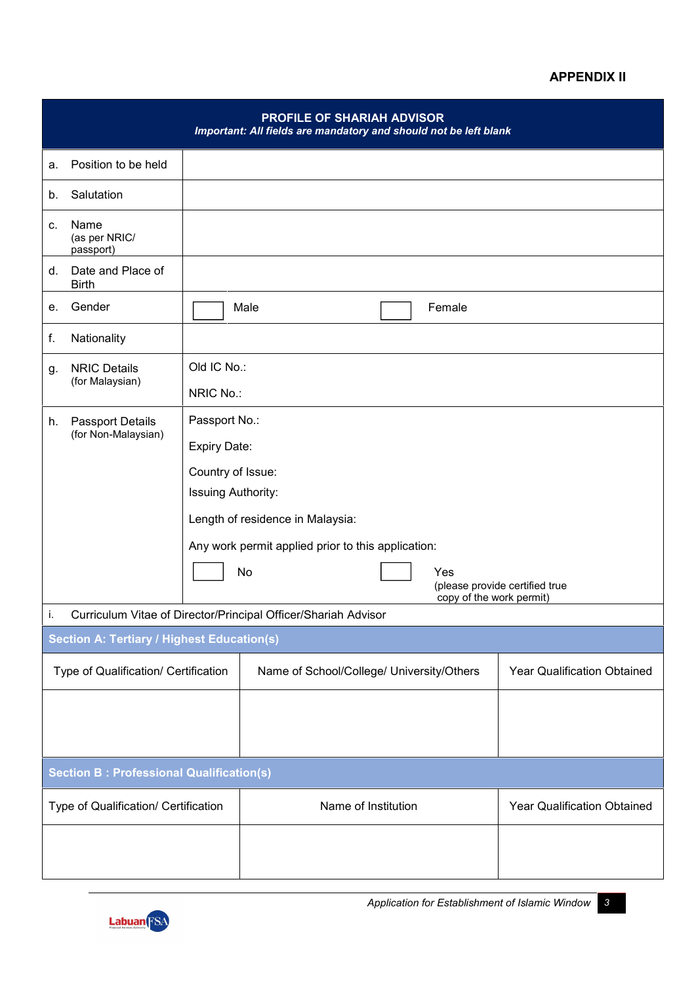### **APPENDIX II**

|                                      |                                                 |                                                    | <b>PROFILE OF SHARIAH ADVISOR</b><br>Important: All fields are mandatory and should not be left blank |                             |  |  |  |
|--------------------------------------|-------------------------------------------------|----------------------------------------------------|-------------------------------------------------------------------------------------------------------|-----------------------------|--|--|--|
| a.                                   | Position to be held                             |                                                    |                                                                                                       |                             |  |  |  |
| b.                                   | Salutation                                      |                                                    |                                                                                                       |                             |  |  |  |
| c.                                   | Name<br>(as per NRIC/<br>passport)              |                                                    |                                                                                                       |                             |  |  |  |
| d.                                   | Date and Place of<br><b>Birth</b>               |                                                    |                                                                                                       |                             |  |  |  |
| е.                                   | Gender                                          |                                                    | Female<br>Male                                                                                        |                             |  |  |  |
| f.                                   | Nationality                                     |                                                    |                                                                                                       |                             |  |  |  |
| g.                                   | <b>NRIC Details</b><br>(for Malaysian)          |                                                    | Old IC No.:<br>NRIC No.:                                                                              |                             |  |  |  |
| h.                                   | <b>Passport Details</b><br>(for Non-Malaysian)  | Passport No.:                                      |                                                                                                       |                             |  |  |  |
|                                      |                                                 | Expiry Date:                                       |                                                                                                       |                             |  |  |  |
|                                      |                                                 | Country of Issue:                                  |                                                                                                       |                             |  |  |  |
|                                      |                                                 | Issuing Authority:                                 |                                                                                                       |                             |  |  |  |
|                                      |                                                 | Length of residence in Malaysia:                   |                                                                                                       |                             |  |  |  |
|                                      |                                                 | Any work permit applied prior to this application: |                                                                                                       |                             |  |  |  |
|                                      |                                                 |                                                    | No<br>Yes<br>(please provide certified true<br>copy of the work permit)                               |                             |  |  |  |
| i.                                   |                                                 |                                                    | Curriculum Vitae of Director/Principal Officer/Shariah Advisor                                        |                             |  |  |  |
|                                      | Section A: Tertiary / Highest Education(s)      |                                                    |                                                                                                       |                             |  |  |  |
| Type of Qualification/ Certification |                                                 |                                                    | Name of School/College/ University/Others                                                             | Year Qualification Obtained |  |  |  |
|                                      |                                                 |                                                    |                                                                                                       |                             |  |  |  |
|                                      | <b>Section B: Professional Qualification(s)</b> |                                                    |                                                                                                       |                             |  |  |  |
| Type of Qualification/ Certification |                                                 |                                                    | Name of Institution                                                                                   | Year Qualification Obtained |  |  |  |
|                                      |                                                 |                                                    |                                                                                                       |                             |  |  |  |
|                                      |                                                 |                                                    |                                                                                                       |                             |  |  |  |

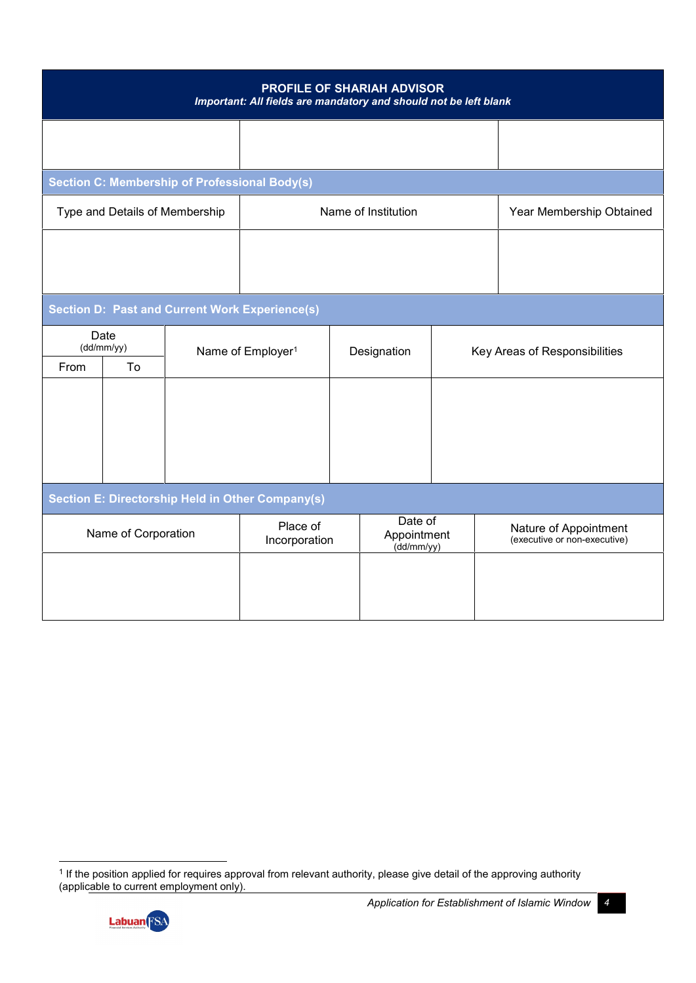| PROFILE OF SHARIAH ADVISOR<br>Important: All fields are mandatory and should not be left blank |                                |                                                      |                                                         |                                      |  |                                                       |  |
|------------------------------------------------------------------------------------------------|--------------------------------|------------------------------------------------------|---------------------------------------------------------|--------------------------------------|--|-------------------------------------------------------|--|
|                                                                                                |                                |                                                      |                                                         |                                      |  |                                                       |  |
|                                                                                                |                                | <b>Section C: Membership of Professional Body(s)</b> |                                                         |                                      |  |                                                       |  |
|                                                                                                | Type and Details of Membership |                                                      |                                                         | Name of Institution                  |  | Year Membership Obtained                              |  |
|                                                                                                |                                |                                                      |                                                         |                                      |  |                                                       |  |
|                                                                                                |                                |                                                      |                                                         |                                      |  |                                                       |  |
|                                                                                                |                                |                                                      |                                                         |                                      |  |                                                       |  |
|                                                                                                |                                |                                                      | <b>Section D: Past and Current Work Experience(s)</b>   |                                      |  |                                                       |  |
|                                                                                                | Date<br>(dd/mm/yy)             |                                                      | Name of Employer <sup>1</sup><br>Designation            |                                      |  | Key Areas of Responsibilities                         |  |
| From                                                                                           | To                             |                                                      |                                                         |                                      |  |                                                       |  |
|                                                                                                |                                |                                                      |                                                         |                                      |  |                                                       |  |
|                                                                                                |                                |                                                      |                                                         |                                      |  |                                                       |  |
|                                                                                                |                                |                                                      |                                                         |                                      |  |                                                       |  |
|                                                                                                |                                |                                                      |                                                         |                                      |  |                                                       |  |
|                                                                                                |                                |                                                      | <b>Section E: Directorship Held in Other Company(s)</b> |                                      |  |                                                       |  |
| Name of Corporation                                                                            |                                | Place of<br>Incorporation                            |                                                         | Date of<br>Appointment<br>(dd/mm/yy) |  | Nature of Appointment<br>(executive or non-executive) |  |
|                                                                                                |                                |                                                      |                                                         |                                      |  |                                                       |  |
|                                                                                                |                                |                                                      |                                                         |                                      |  |                                                       |  |
|                                                                                                |                                |                                                      |                                                         |                                      |  |                                                       |  |

<sup>1</sup> If the position applied for requires approval from relevant authority, please give detail of the approving authority (applicable to current employment only).

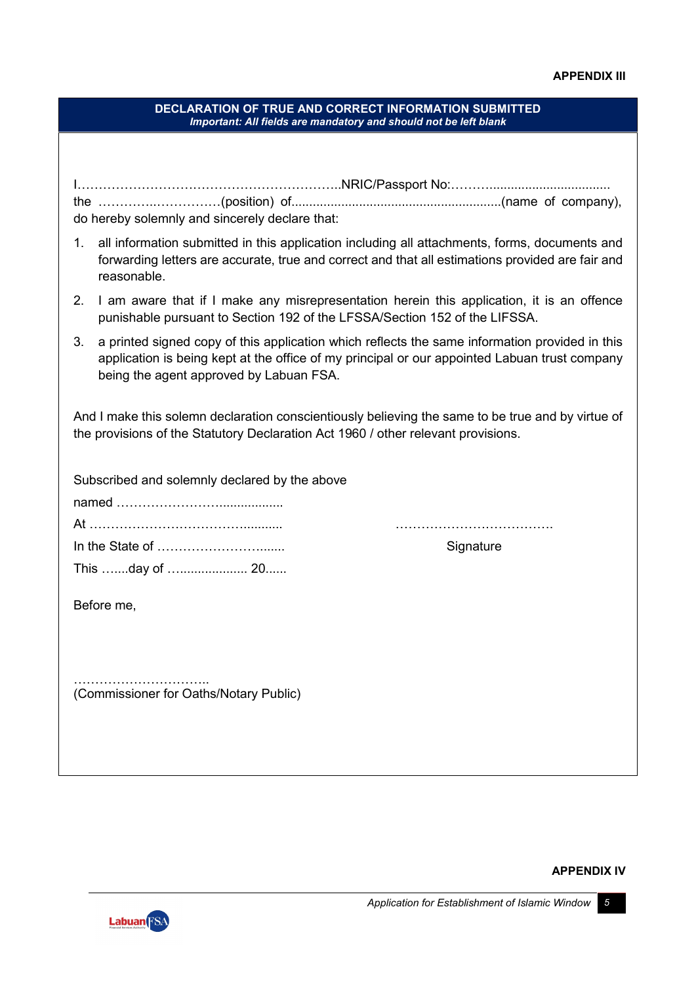|                                        | <b>DECLARATION OF TRUE AND CORRECT INFORMATION SUBMITTED</b><br>Important: All fields are mandatory and should not be left blank                                                                                                           |  |  |  |
|----------------------------------------|--------------------------------------------------------------------------------------------------------------------------------------------------------------------------------------------------------------------------------------------|--|--|--|
|                                        |                                                                                                                                                                                                                                            |  |  |  |
|                                        | do hereby solemnly and sincerely declare that:                                                                                                                                                                                             |  |  |  |
| 1.                                     | all information submitted in this application including all attachments, forms, documents and<br>forwarding letters are accurate, true and correct and that all estimations provided are fair and<br>reasonable.                           |  |  |  |
| 2.                                     | I am aware that if I make any misrepresentation herein this application, it is an offence<br>punishable pursuant to Section 192 of the LFSSA/Section 152 of the LIFSSA.                                                                    |  |  |  |
| 3.                                     | a printed signed copy of this application which reflects the same information provided in this<br>application is being kept at the office of my principal or our appointed Labuan trust company<br>being the agent approved by Labuan FSA. |  |  |  |
|                                        | And I make this solemn declaration conscientiously believing the same to be true and by virtue of<br>the provisions of the Statutory Declaration Act 1960 / other relevant provisions.                                                     |  |  |  |
|                                        | Subscribed and solemnly declared by the above                                                                                                                                                                                              |  |  |  |
|                                        |                                                                                                                                                                                                                                            |  |  |  |
|                                        |                                                                                                                                                                                                                                            |  |  |  |
|                                        | Signature                                                                                                                                                                                                                                  |  |  |  |
|                                        | This day of  20                                                                                                                                                                                                                            |  |  |  |
|                                        | Before me,                                                                                                                                                                                                                                 |  |  |  |
|                                        |                                                                                                                                                                                                                                            |  |  |  |
| (Commissioner for Oaths/Notary Public) |                                                                                                                                                                                                                                            |  |  |  |
|                                        |                                                                                                                                                                                                                                            |  |  |  |